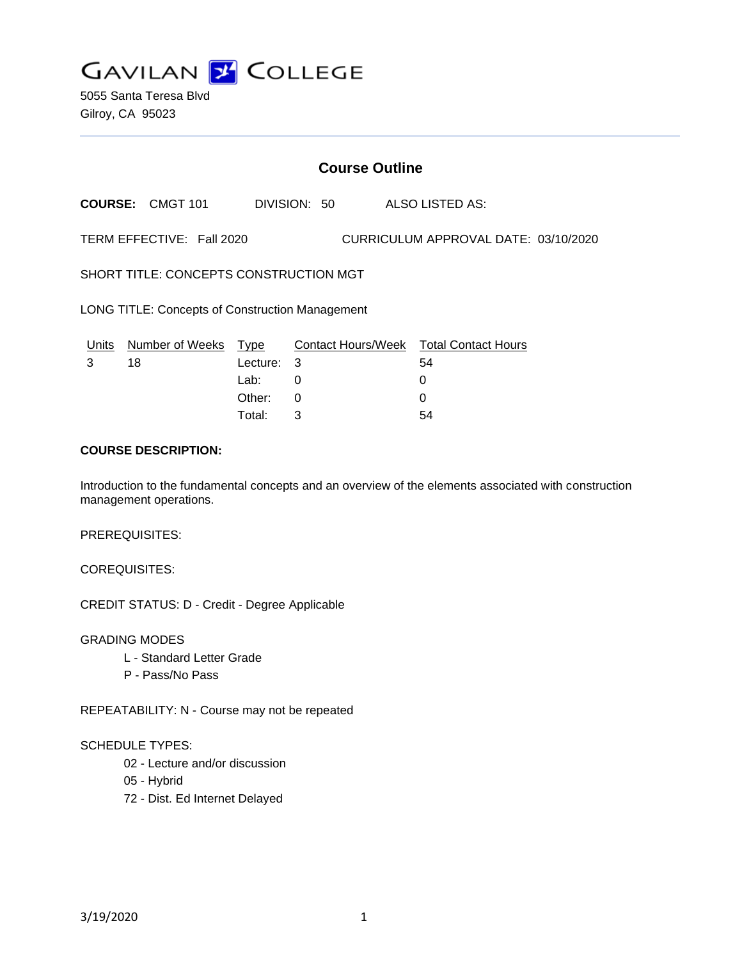**GAVILAN 2 COLLEGE** 

5055 Santa Teresa Blvd Gilroy, CA 95023

# **Course Outline**

**COURSE:** CMGT 101 DIVISION: 50 ALSO LISTED AS:

TERM EFFECTIVE: Fall 2020 CURRICULUM APPROVAL DATE: 03/10/2020

SHORT TITLE: CONCEPTS CONSTRUCTION MGT

LONG TITLE: Concepts of Construction Management

| Units | Number of Weeks Type |            | Contact Hours/Week Total Contact Hours |    |
|-------|----------------------|------------|----------------------------------------|----|
|       | 18                   | Lecture: 3 |                                        | 54 |
|       |                      | Lab:       |                                        |    |
|       |                      | Other:     | $\Omega$                               |    |
|       |                      | Total:     |                                        | 54 |

## **COURSE DESCRIPTION:**

Introduction to the fundamental concepts and an overview of the elements associated with construction management operations.

PREREQUISITES:

COREQUISITES:

CREDIT STATUS: D - Credit - Degree Applicable

GRADING MODES

- L Standard Letter Grade
- P Pass/No Pass

REPEATABILITY: N - Course may not be repeated

#### SCHEDULE TYPES:

- 02 Lecture and/or discussion
- 05 Hybrid
- 72 Dist. Ed Internet Delayed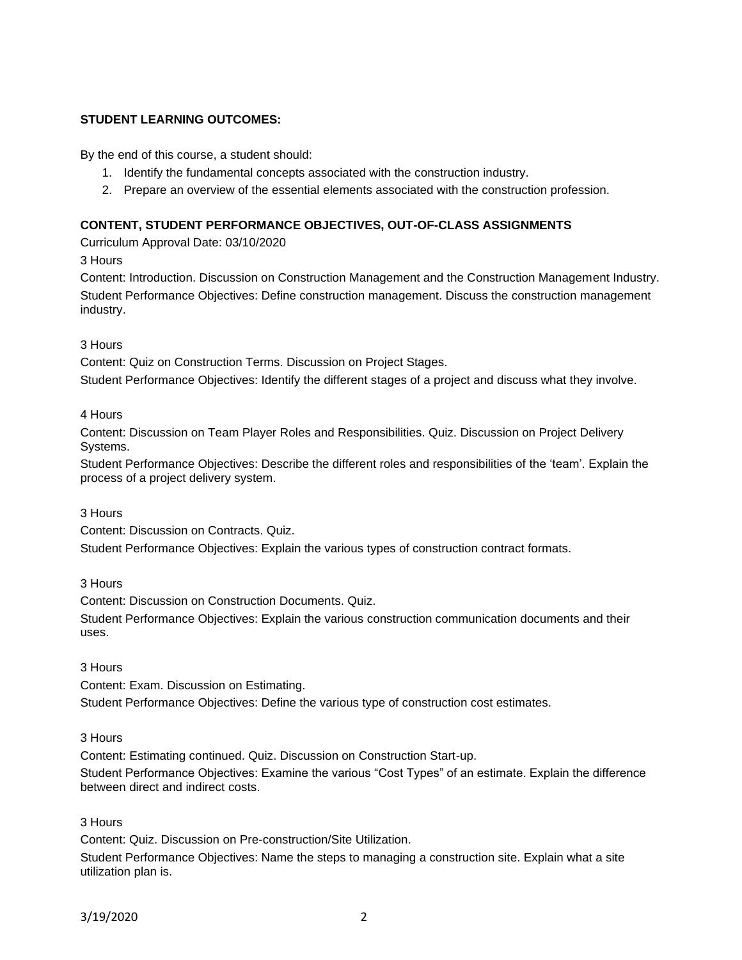### **STUDENT LEARNING OUTCOMES:**

By the end of this course, a student should:

- 1. Identify the fundamental concepts associated with the construction industry.
- 2. Prepare an overview of the essential elements associated with the construction profession.

### **CONTENT, STUDENT PERFORMANCE OBJECTIVES, OUT-OF-CLASS ASSIGNMENTS**

Curriculum Approval Date: 03/10/2020

3 Hours

Content: Introduction. Discussion on Construction Management and the Construction Management Industry. Student Performance Objectives: Define construction management. Discuss the construction management industry.

#### 3 Hours

Content: Quiz on Construction Terms. Discussion on Project Stages.

Student Performance Objectives: Identify the different stages of a project and discuss what they involve.

#### 4 Hours

Content: Discussion on Team Player Roles and Responsibilities. Quiz. Discussion on Project Delivery Systems.

Student Performance Objectives: Describe the different roles and responsibilities of the 'team'. Explain the process of a project delivery system.

### 3 Hours

Content: Discussion on Contracts. Quiz.

Student Performance Objectives: Explain the various types of construction contract formats.

### 3 Hours

Content: Discussion on Construction Documents. Quiz.

Student Performance Objectives: Explain the various construction communication documents and their uses.

### 3 Hours

Content: Exam. Discussion on Estimating.

Student Performance Objectives: Define the various type of construction cost estimates.

### 3 Hours

Content: Estimating continued. Quiz. Discussion on Construction Start-up.

Student Performance Objectives: Examine the various "Cost Types" of an estimate. Explain the difference between direct and indirect costs.

### 3 Hours

Content: Quiz. Discussion on Pre-construction/Site Utilization.

Student Performance Objectives: Name the steps to managing a construction site. Explain what a site utilization plan is.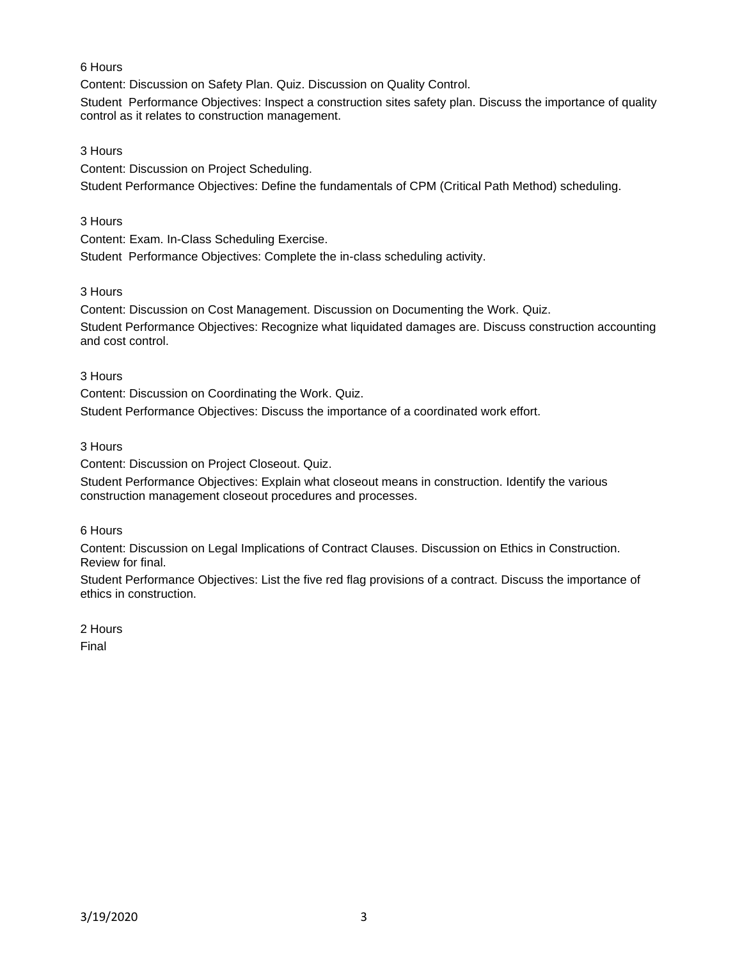### 6 Hours

Content: Discussion on Safety Plan. Quiz. Discussion on Quality Control.

Student Performance Objectives: Inspect a construction sites safety plan. Discuss the importance of quality control as it relates to construction management.

#### 3 Hours

Content: Discussion on Project Scheduling.

Student Performance Objectives: Define the fundamentals of CPM (Critical Path Method) scheduling.

### 3 Hours

Content: Exam. In-Class Scheduling Exercise.

Student Performance Objectives: Complete the in-class scheduling activity.

#### 3 Hours

Content: Discussion on Cost Management. Discussion on Documenting the Work. Quiz. Student Performance Objectives: Recognize what liquidated damages are. Discuss construction accounting and cost control.

#### 3 Hours

Content: Discussion on Coordinating the Work. Quiz. Student Performance Objectives: Discuss the importance of a coordinated work effort.

### 3 Hours

Content: Discussion on Project Closeout. Quiz.

Student Performance Objectives: Explain what closeout means in construction. Identify the various construction management closeout procedures and processes.

6 Hours

Content: Discussion on Legal Implications of Contract Clauses. Discussion on Ethics in Construction. Review for final.

Student Performance Objectives: List the five red flag provisions of a contract. Discuss the importance of ethics in construction.

2 Hours

Final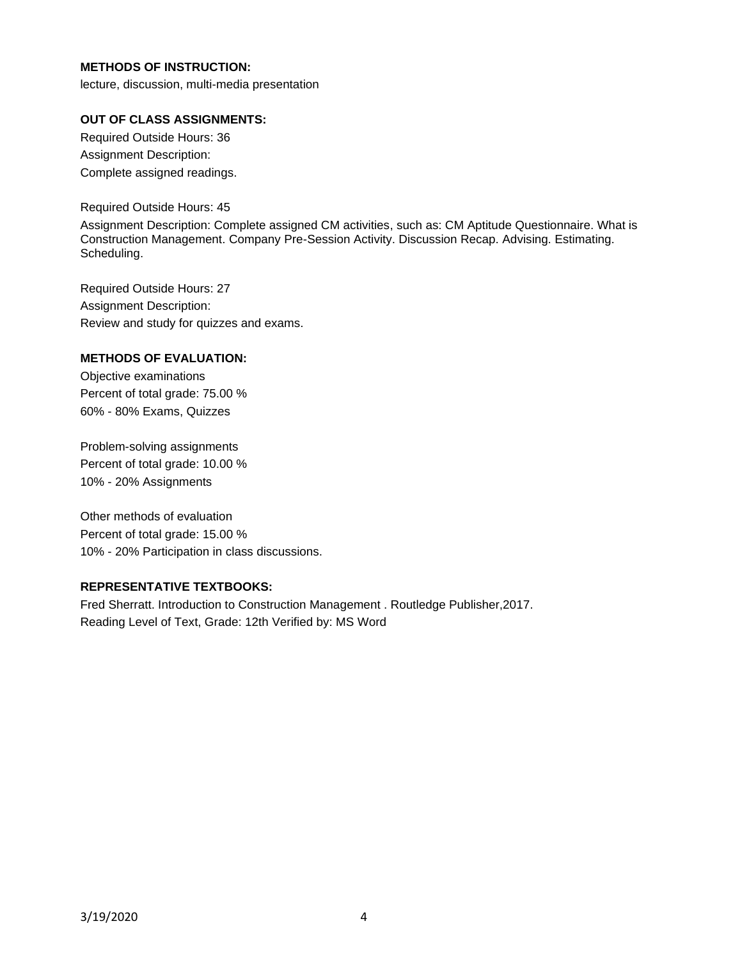## **METHODS OF INSTRUCTION:**

lecture, discussion, multi-media presentation

### **OUT OF CLASS ASSIGNMENTS:**

Required Outside Hours: 36 Assignment Description: Complete assigned readings.

Required Outside Hours: 45

Assignment Description: Complete assigned CM activities, such as: CM Aptitude Questionnaire. What is Construction Management. Company Pre-Session Activity. Discussion Recap. Advising. Estimating. Scheduling.

Required Outside Hours: 27 Assignment Description: Review and study for quizzes and exams.

### **METHODS OF EVALUATION:**

Objective examinations Percent of total grade: 75.00 % 60% - 80% Exams, Quizzes

Problem-solving assignments Percent of total grade: 10.00 % 10% - 20% Assignments

Other methods of evaluation Percent of total grade: 15.00 % 10% - 20% Participation in class discussions.

## **REPRESENTATIVE TEXTBOOKS:**

Fred Sherratt. Introduction to Construction Management . Routledge Publisher,2017. Reading Level of Text, Grade: 12th Verified by: MS Word